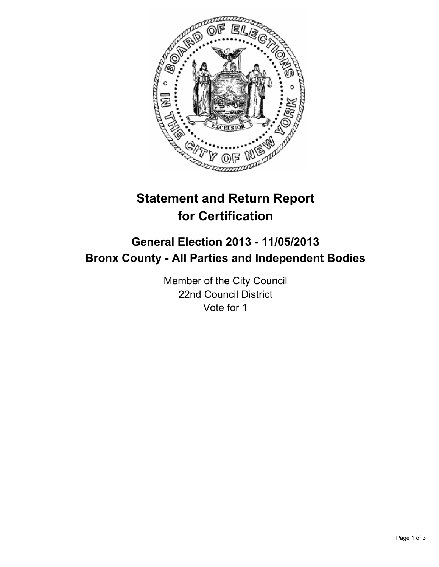

## **Statement and Return Report for Certification**

## **General Election 2013 - 11/05/2013 Bronx County - All Parties and Independent Bodies**

Member of the City Council 22nd Council District Vote for 1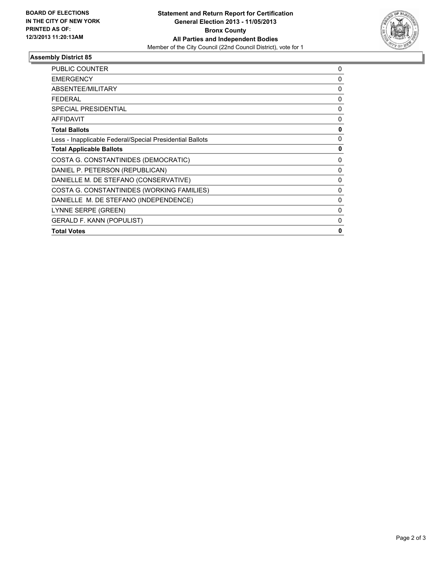

## **Assembly District 85**

| <b>PUBLIC COUNTER</b>                                    | 0            |
|----------------------------------------------------------|--------------|
| <b>EMERGENCY</b>                                         | $\mathbf{0}$ |
| ABSENTEE/MILITARY                                        | 0            |
| <b>FEDERAL</b>                                           | 0            |
| SPECIAL PRESIDENTIAL                                     | $\mathbf{0}$ |
| <b>AFFIDAVIT</b>                                         | 0            |
| <b>Total Ballots</b>                                     | 0            |
| Less - Inapplicable Federal/Special Presidential Ballots | $\mathbf{0}$ |
| <b>Total Applicable Ballots</b>                          | 0            |
| COSTA G. CONSTANTINIDES (DEMOCRATIC)                     | 0            |
| DANIEL P. PETERSON (REPUBLICAN)                          | 0            |
| DANIELLE M. DE STEFANO (CONSERVATIVE)                    | 0            |
| COSTA G. CONSTANTINIDES (WORKING FAMILIES)               | $\mathbf{0}$ |
| DANIELLE M. DE STEFANO (INDEPENDENCE)                    | 0            |
| LYNNE SERPE (GREEN)                                      | 0            |
| <b>GERALD F. KANN (POPULIST)</b>                         | $\mathbf{0}$ |
| <b>Total Votes</b>                                       | 0            |